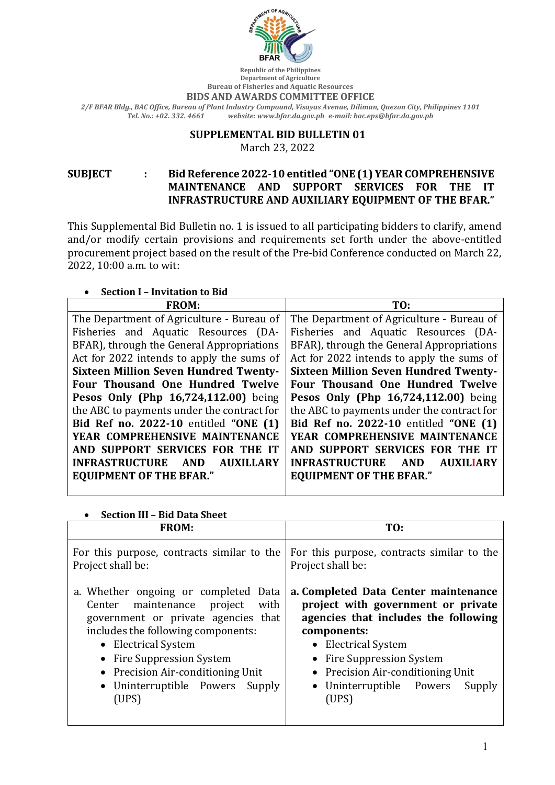

**Republic of the Philippines Department of Agriculture Bureau of Fisheries and Aquatic Resources** 

**BIDS AND AWARDS COMMITTEE OFFICE** 

*2/F BFAR Bldg., BAC Office, Bureau of Plant Industry Compound, Visayas Avenue, Diliman, Quezon City, Philippines 1101 Tel. No.: +02. 332. 4661 website: www.bfar.da.gov.ph e-mail: bac.eps@bfar.da.gov.ph*

#### **SUPPLEMENTAL BID BULLETIN 01**

March 23, 2022

SUBJECT : Bid Reference 2022-10 entitled "ONE (1) YEAR COMPREHENSIVE **MAINTENANCE AND SUPPORT SERVICES FOR THE IT INFRASTRUCTURE AND AUXILIARY EQUIPMENT OF THE BFAR."** 

This Supplemental Bid Bulletin no. 1 is issued to all participating bidders to clarify, amend and/or modify certain provisions and requirements set forth under the above-entitled procurement project based on the result of the Pre-bid Conference conducted on March 22, 2022, 10:00 a.m. to wit:

### • **Section I - Invitation to Bid**

| <b>FROM:</b>                                 | TO:                                                     |
|----------------------------------------------|---------------------------------------------------------|
| The Department of Agriculture - Bureau of    | The Department of Agriculture - Bureau of               |
| Fisheries and Aquatic Resources (DA-         | Fisheries and Aquatic Resources (DA-                    |
| BFAR), through the General Appropriations    | BFAR), through the General Appropriations               |
| Act for 2022 intends to apply the sums of    | Act for 2022 intends to apply the sums of               |
| <b>Sixteen Million Seven Hundred Twenty-</b> | <b>Sixteen Million Seven Hundred Twenty-</b>            |
| Four Thousand One Hundred Twelve             | Four Thousand One Hundred Twelve                        |
| Pesos Only (Php 16,724,112.00) being         | Pesos Only (Php 16,724,112.00) being                    |
| the ABC to payments under the contract for   | the ABC to payments under the contract for              |
| Bid Ref no. 2022-10 entitled "ONE (1)        | Bid Ref no. 2022-10 entitled "ONE (1)                   |
| YEAR COMPREHENSIVE MAINTENANCE               | YEAR COMPREHENSIVE MAINTENANCE                          |
| AND SUPPORT SERVICES FOR THE IT              | AND SUPPORT SERVICES FOR THE IT                         |
| INFRASTRUCTURE AND<br><b>AUXILLARY</b>       | <b>INFRASTRUCTURE</b><br><b>AND</b><br><b>AUXILIARY</b> |
| <b>EQUIPMENT OF THE BFAR."</b>               | <b>EQUIPMENT OF THE BFAR."</b>                          |
|                                              |                                                         |

## • **Section III – Bid Data Sheet**

| <b>FROM:</b>                               | TO:                                        |
|--------------------------------------------|--------------------------------------------|
| For this purpose, contracts similar to the | For this purpose, contracts similar to the |
| Project shall be:                          | Project shall be:                          |
| a. Whether ongoing or completed Data       | a. Completed Data Center maintenance       |
| with                                       | project with government or private         |
| Center maintenance project                 | agencies that includes the following       |
| government or private agencies that        | components:                                |
| includes the following components:         | • Electrical System                        |
| • Electrical System                        | • Fire Suppression System                  |
| • Fire Suppression System                  | • Precision Air-conditioning Unit          |
| • Precision Air-conditioning Unit          | • Uninterruptible Powers                   |
| • Uninterruptible Powers Supply            | Supply                                     |
| (UPS)                                      | (UPS)                                      |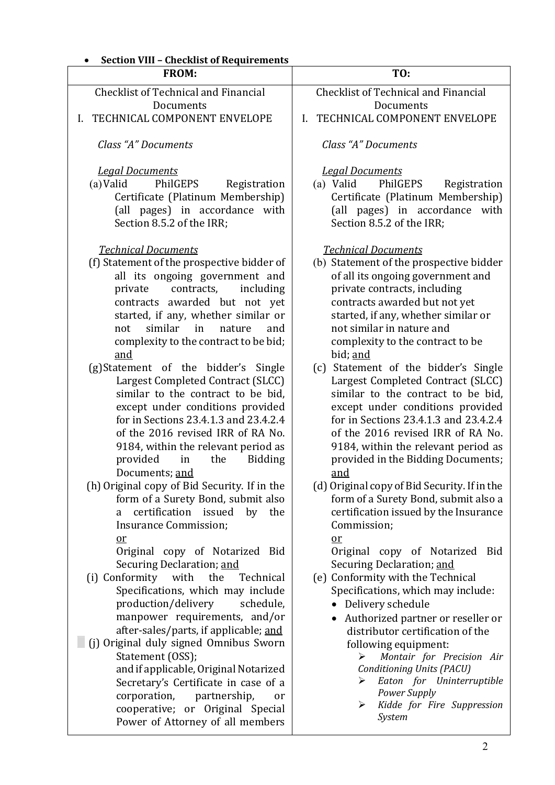| <b>Section VIII - Checklist of Requirements</b>                                                                                                                                                                                                                                                                                                                                                                                                                                                                         |                                                                                                                                                                                                                                                                                                                                                                                                                                                                                                        |
|-------------------------------------------------------------------------------------------------------------------------------------------------------------------------------------------------------------------------------------------------------------------------------------------------------------------------------------------------------------------------------------------------------------------------------------------------------------------------------------------------------------------------|--------------------------------------------------------------------------------------------------------------------------------------------------------------------------------------------------------------------------------------------------------------------------------------------------------------------------------------------------------------------------------------------------------------------------------------------------------------------------------------------------------|
| <b>FROM:</b>                                                                                                                                                                                                                                                                                                                                                                                                                                                                                                            | TO:                                                                                                                                                                                                                                                                                                                                                                                                                                                                                                    |
| <b>Checklist of Technical and Financial</b>                                                                                                                                                                                                                                                                                                                                                                                                                                                                             | <b>Checklist of Technical and Financial</b>                                                                                                                                                                                                                                                                                                                                                                                                                                                            |
| Documents                                                                                                                                                                                                                                                                                                                                                                                                                                                                                                               | Documents                                                                                                                                                                                                                                                                                                                                                                                                                                                                                              |
| TECHNICAL COMPONENT ENVELOPE<br>L.                                                                                                                                                                                                                                                                                                                                                                                                                                                                                      | TECHNICAL COMPONENT ENVELOPE<br>L.                                                                                                                                                                                                                                                                                                                                                                                                                                                                     |
| Class "A" Documents                                                                                                                                                                                                                                                                                                                                                                                                                                                                                                     | Class "A" Documents                                                                                                                                                                                                                                                                                                                                                                                                                                                                                    |
| <b>Legal Documents</b><br>(a) Valid<br>PhilGEPS<br>Registration<br>Certificate (Platinum Membership)<br>(all pages) in accordance with<br>Section 8.5.2 of the IRR;<br><b>Technical Documents</b>                                                                                                                                                                                                                                                                                                                       | <b>Legal Documents</b><br>(a) Valid<br>PhilGEPS<br>Registration<br>Certificate (Platinum Membership)<br>(all pages) in accordance with<br>Section 8.5.2 of the IRR;<br><b>Technical Documents</b>                                                                                                                                                                                                                                                                                                      |
| (f) Statement of the prospective bidder of<br>all its ongoing government and<br>including<br>private<br>contracts,<br>contracts awarded but not yet<br>started, if any, whether similar or<br>similar<br>in<br>nature<br>not<br>and<br>complexity to the contract to be bid;<br>and<br>(g)Statement of the bidder's Single<br>Largest Completed Contract (SLCC)<br>similar to the contract to be bid,<br>except under conditions provided<br>for in Sections 23.4.1.3 and 23.4.2.4<br>of the 2016 revised IRR of RA No. | (b) Statement of the prospective bidder<br>of all its ongoing government and<br>private contracts, including<br>contracts awarded but not yet<br>started, if any, whether similar or<br>not similar in nature and<br>complexity to the contract to be<br>bid; and<br>(c) Statement of the bidder's Single<br>Largest Completed Contract (SLCC)<br>similar to the contract to be bid,<br>except under conditions provided<br>for in Sections 23.4.1.3 and 23.4.2.4<br>of the 2016 revised IRR of RA No. |
| 9184, within the relevant period as<br>provided<br>the<br><b>Bidding</b><br>in<br>Documents; and<br>(h) Original copy of Bid Security. If in the                                                                                                                                                                                                                                                                                                                                                                        | 9184, within the relevant period as<br>provided in the Bidding Documents;<br><u>and</u><br>(d) Original copy of Bid Security. If in the                                                                                                                                                                                                                                                                                                                                                                |
| form of a Surety Bond, submit also<br>certification<br>issued<br>by<br>the<br>a<br>Insurance Commission;<br>$or$<br>Original copy of Notarized Bid<br>Securing Declaration; and                                                                                                                                                                                                                                                                                                                                         | form of a Surety Bond, submit also a<br>certification issued by the Insurance<br>Commission;<br>or<br>Original copy of Notarized<br>Bid<br>Securing Declaration; and                                                                                                                                                                                                                                                                                                                                   |
| (i) Conformity<br>with<br>the<br>Technical<br>Specifications, which may include<br>production/delivery<br>schedule,<br>manpower requirements, and/or<br>after-sales/parts, if applicable; and<br>(j) Original duly signed Omnibus Sworn<br>Statement (OSS);<br>and if applicable, Original Notarized<br>Secretary's Certificate in case of a<br>corporation,<br>partnership,<br>or<br>cooperative; or Original Special<br>Power of Attorney of all members                                                              | (e) Conformity with the Technical<br>Specifications, which may include:<br>• Delivery schedule<br>Authorized partner or reseller or<br>distributor certification of the<br>following equipment:<br>Montair for Precision Air<br>➤<br><b>Conditioning Units (PACU)</b><br>Eaton for Uninterruptible<br>➤<br>Power Supply<br>Kidde for Fire Suppression<br>➤<br>System                                                                                                                                   |

# 2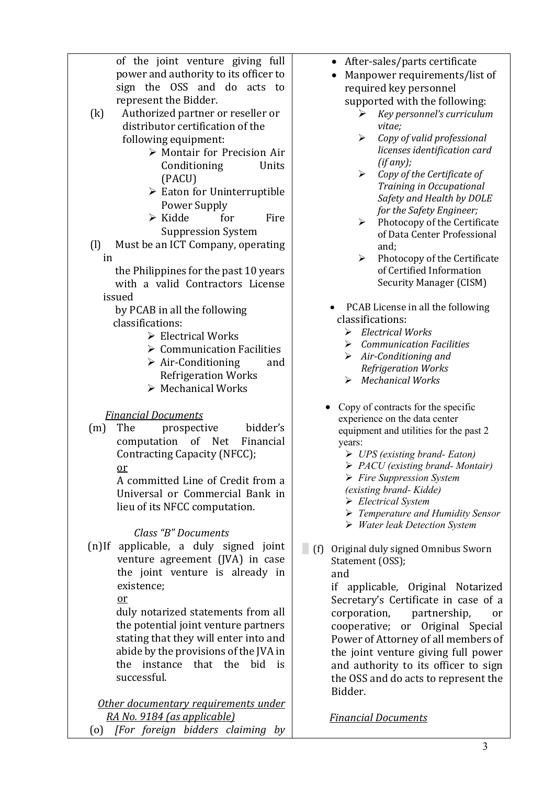| of the joint venture giving full                       | After-sales/parts certificate                                                                    |
|--------------------------------------------------------|--------------------------------------------------------------------------------------------------|
| power and authority to its officer to                  | Manpower requirements/list of                                                                    |
| sign the OSS and do acts to                            | required key personnel                                                                           |
| represent the Bidder.                                  | supported with the following:                                                                    |
| $\left( k\right)$<br>Authorized partner or reseller or | Key personnel's curriculum<br>⋗                                                                  |
| distributor certification of the                       | vitae;                                                                                           |
| following equipment:                                   | Copy of valid professional<br>➤                                                                  |
| > Montair for Precision Air                            | licenses identification card                                                                     |
| Units                                                  | (if any);                                                                                        |
| Conditioning                                           | $\blacktriangleright$<br>Copy of the Certificate of                                              |
| (PACU)                                                 | Training in Occupational                                                                         |
| $\triangleright$ Eaton for Uninterruptible             | Safety and Health by DOLE                                                                        |
| Power Supply                                           | for the Safety Engineer;                                                                         |
| $\triangleright$ Kidde<br>for<br>Fire                  | Photocopy of the Certificate<br>➤                                                                |
| <b>Suppression System</b>                              | of Data Center Professional                                                                      |
| Must be an ICT Company, operating<br>$\left( 1\right)$ | and;                                                                                             |
| in                                                     | Photocopy of the Certificate<br>➤                                                                |
| the Philippines for the past 10 years                  | of Certified Information                                                                         |
| with a valid Contractors License                       | <b>Security Manager (CISM)</b>                                                                   |
| issued                                                 |                                                                                                  |
| by PCAB in all the following                           | PCAB License in all the following                                                                |
| classifications:                                       | classifications:                                                                                 |
| $\triangleright$ Electrical Works                      | <b>Electrical Works</b><br>⋗                                                                     |
| $\triangleright$ Communication Facilities              | <b>Communication Facilities</b><br>⋗                                                             |
| $\triangleright$ Air-Conditioning<br>and               | Air-Conditioning and<br>➤<br>Refrigeration Works                                                 |
| <b>Refrigeration Works</b>                             | <b>Mechanical Works</b><br>➤                                                                     |
| > Mechanical Works                                     |                                                                                                  |
|                                                        | Copy of contracts for the specific                                                               |
| <b>Financial Documents</b>                             | experience on the data center                                                                    |
| bidder's<br>The<br>(m)<br>prospective                  | equipment and utilities for the past 2                                                           |
| computation of<br>Net<br>Financial                     | years:                                                                                           |
| Contracting Capacity (NFCC);                           | $\triangleright$ UPS (existing brand-Eaton)                                                      |
| or                                                     | $\triangleright$ PACU (existing brand- Montair)                                                  |
| A committed Line of Credit from a                      | $\triangleright$ Fire Suppression System                                                         |
| Universal or Commercial Bank in                        | (existing brand- Kidde)                                                                          |
| lieu of its NFCC computation.                          | $\triangleright$ Electrical System                                                               |
|                                                        | $\triangleright$ Temperature and Humidity Sensor<br>$\triangleright$ Water leak Detection System |
| Class "B" Documents                                    |                                                                                                  |
| (n)If applicable, a duly signed joint                  | (f) Original duly signed Omnibus Sworn                                                           |
| venture agreement (JVA) in case                        | Statement (OSS);                                                                                 |
| the joint venture is already in                        | and                                                                                              |
| existence;                                             | if applicable, Original Notarized                                                                |
| $or$                                                   | Secretary's Certificate in case of a                                                             |
| duly notarized statements from all                     | corporation,<br>partnership,<br>or                                                               |
| the potential joint venture partners                   | cooperative; or Original Special                                                                 |
| stating that they will enter into and                  | Power of Attorney of all members of                                                              |
| abide by the provisions of the JVA in                  | the joint venture giving full power                                                              |
| instance that<br>the<br>bid<br>the<br>is               | and authority to its officer to sign                                                             |
| successful.                                            | the OSS and do acts to represent the                                                             |
|                                                        | Bidder.                                                                                          |
| Other documentary requirements under                   |                                                                                                  |
| RA No. 9184 (as applicable)                            | <u>Financial Documents</u>                                                                       |
|                                                        |                                                                                                  |

*RA No. 9184 (as applicable)* (o)⬜ *[For foreign bidders claiming by*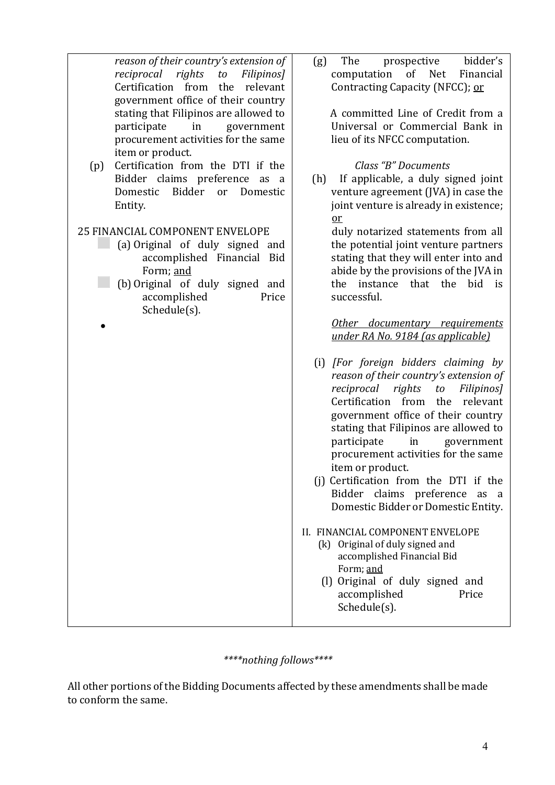| reason of their country's extension of   | The<br>bidder's<br>prospective<br>(g)     |
|------------------------------------------|-------------------------------------------|
| reciprocal<br>rights<br>to<br>Filipinos] | of<br>computation<br>Net<br>Financial     |
| Certification from<br>the relevant       | Contracting Capacity (NFCC); or           |
| government office of their country       |                                           |
| stating that Filipinos are allowed to    | A committed Line of Credit from a         |
| participate<br>in<br>government          | Universal or Commercial Bank in           |
| procurement activities for the same      | lieu of its NFCC computation.             |
| item or product.                         |                                           |
| Certification from the DTI if the<br>(p) | Class "B" Documents                       |
| Bidder claims preference as a            | If applicable, a duly signed joint<br>(h) |
| Bidder<br>Domestic<br>Domestic<br>or     | venture agreement (JVA) in case the       |
|                                          |                                           |
| Entity.                                  | joint venture is already in existence;    |
|                                          | $or$                                      |
| <b>25 FINANCIAL COMPONENT ENVELOPE</b>   | duly notarized statements from all        |
| (a) Original of duly signed and          | the potential joint venture partners      |
| accomplished Financial Bid               | stating that they will enter into and     |
| Form; and                                | abide by the provisions of the JVA in     |
| (b) Original of duly signed and          | the instance that the<br>bid is           |
| accomplished<br>Price                    | successful.                               |
| Schedule(s).                             |                                           |
|                                          | Other documentary requirements            |
|                                          | under RA No. 9184 (as applicable)         |
|                                          |                                           |
|                                          | (i) [For foreign bidders claiming by      |
|                                          | reason of their country's extension of    |
|                                          | reciprocal<br>rights<br>to<br>Filipinos]  |
|                                          | Certification from the relevant           |
|                                          | government office of their country        |
|                                          | stating that Filipinos are allowed to     |
|                                          | participate<br>in<br>government           |
|                                          | procurement activities for the same       |
|                                          | item or product.                          |
|                                          | (i) Certification from the DTI if the     |
|                                          | Bidder claims preference                  |
|                                          | as<br><sub>a</sub>                        |
|                                          | Domestic Bidder or Domestic Entity.       |
|                                          | II. FINANCIAL COMPONENT ENVELOPE          |
|                                          | (k) Original of duly signed and           |
|                                          | accomplished Financial Bid                |
|                                          | Form; and                                 |
|                                          | (I) Original of duly signed and           |
|                                          | accomplished<br>Price                     |
|                                          | Schedule(s).                              |
|                                          |                                           |
|                                          |                                           |

*\*\*\*\*nothing follows\*\*\*\**

All other portions of the Bidding Documents affected by these amendments shall be made to conform the same.